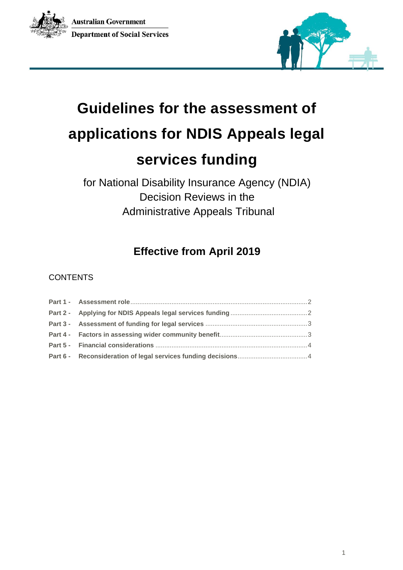



# **Guidelines for the assessment of applications for NDIS Appeals legal services funding**

for National Disability Insurance Agency (NDIA) Decision Reviews in the Administrative Appeals Tribunal

## **Effective from April 2019**

### **CONTENTS**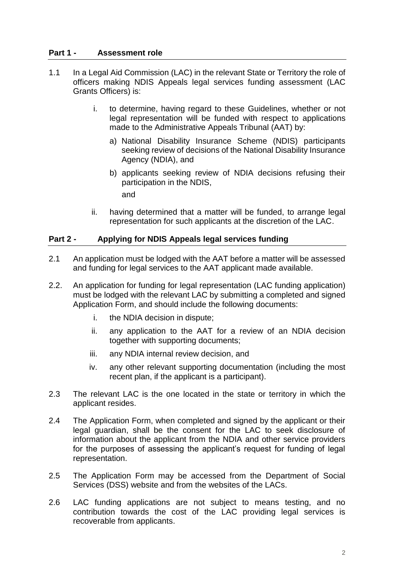#### <span id="page-1-0"></span>**Part 1 - Assessment role**

- 1.1 In a Legal Aid Commission (LAC) in the relevant State or Territory the role of officers making NDIS Appeals legal services funding assessment (LAC Grants Officers) is:
	- i. to determine, having regard to these Guidelines, whether or not legal representation will be funded with respect to applications made to the Administrative Appeals Tribunal (AAT) by:
		- a) National Disability Insurance Scheme (NDIS) participants seeking review of decisions of the National Disability Insurance Agency (NDIA), and
		- b) applicants seeking review of NDIA decisions refusing their participation in the NDIS,

and

ii. having determined that a matter will be funded, to arrange legal representation for such applicants at the discretion of the LAC.

#### <span id="page-1-1"></span>**Part 2 - Applying for NDIS Appeals legal services funding**

- 2.1 An application must be lodged with the AAT before a matter will be assessed and funding for legal services to the AAT applicant made available.
- 2.2. An application for funding for legal representation (LAC funding application) must be lodged with the relevant LAC by submitting a completed and signed Application Form, and should include the following documents:
	- i. the NDIA decision in dispute;
	- ii. any application to the AAT for a review of an NDIA decision together with supporting documents;
	- iii. any NDIA internal review decision, and
	- iv. any other relevant supporting documentation (including the most recent plan, if the applicant is a participant).
- 2.3 The relevant LAC is the one located in the state or territory in which the applicant resides.
- 2.4 The Application Form, when completed and signed by the applicant or their legal guardian, shall be the consent for the LAC to seek disclosure of information about the applicant from the NDIA and other service providers for the purposes of assessing the applicant's request for funding of legal representation.
- 2.5 The Application Form may be accessed from the [Department of Social](https://www.dss.gov.au/disability-and-carers/programs-services/for-people-with-disability/ndis-appeals)  [Services \(DSS\) website](https://www.dss.gov.au/disability-and-carers/programs-services/for-people-with-disability/ndis-appeals) and from the websites of the LACs.
- 2.6 LAC funding applications are not subject to means testing, and no contribution towards the cost of the LAC providing legal services is recoverable from applicants.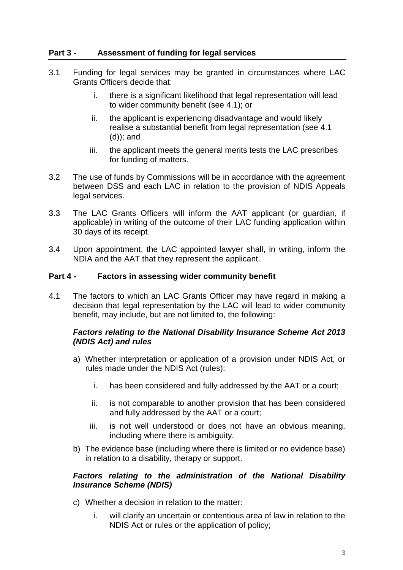#### <span id="page-2-0"></span>**Part 3 - Assessment of funding for legal services**

- 3.1 Funding for legal services may be granted in circumstances where LAC Grants Officers decide that:
	- i. there is a significant likelihood that legal representation will lead to wider community benefit (see 4.1); or
	- ii. the applicant is experiencing disadvantage and would likely realise a substantial benefit from legal representation (see 4.1 (d)); and
	- iii. the applicant meets the general merits tests the LAC prescribes for funding of matters.
- 3.2 The use of funds by Commissions will be in accordance with the agreement between DSS and each LAC in relation to the provision of NDIS Appeals legal services.
- 3.3 The LAC Grants Officers will inform the AAT applicant (or guardian, if applicable) in writing of the outcome of their LAC funding application within 30 days of its receipt.
- 3.4 Upon appointment, the LAC appointed lawyer shall, in writing, inform the NDIA and the AAT that they represent the applicant.

#### <span id="page-2-1"></span>**Part 4 - Factors in assessing wider community benefit**

4.1 The factors to which an LAC Grants Officer may have regard in making a decision that legal representation by the LAC will lead to wider community benefit, may include, but are not limited to, the following:

#### *Factors relating to the National Disability Insurance Scheme Act 2013 (NDIS Act) and rules*

- a) Whether interpretation or application of a provision under NDIS Act, or rules made under the NDIS Act (rules):
	- i. has been considered and fully addressed by the AAT or a court;
	- ii. is not comparable to another provision that has been considered and fully addressed by the AAT or a court;
	- iii. is not well understood or does not have an obvious meaning, including where there is ambiguity.
- b) The evidence base (including where there is limited or no evidence base) in relation to a disability, therapy or support.

#### *Factors relating to the administration of the National Disability Insurance Scheme (NDIS)*

- c) Whether a decision in relation to the matter:
	- i. will clarify an uncertain or contentious area of law in relation to the NDIS Act or rules or the application of policy;